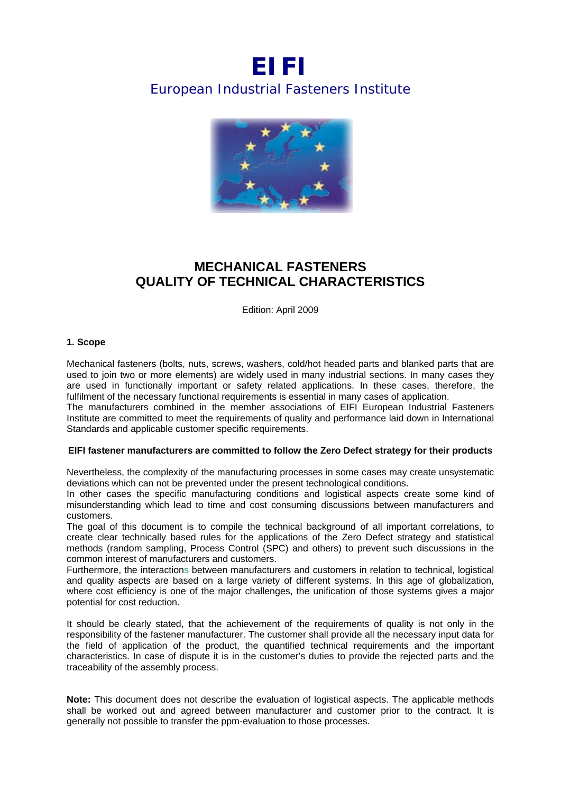# *EIFI European Industrial Fasteners Institute*



## **MECHANICAL FASTENERS QUALITY OF TECHNICAL CHARACTERISTICS**

Edition: April 2009

#### **1. Scope**

Mechanical fasteners (bolts, nuts, screws, washers, cold/hot headed parts and blanked parts that are used to join two or more elements) are widely used in many industrial sections. In many cases they are used in functionally important or safety related applications. In these cases, therefore, the fulfilment of the necessary functional requirements is essential in many cases of application.

The manufacturers combined in the member associations of EIFI European Industrial Fasteners Institute are committed to meet the requirements of quality and performance laid down in International Standards and applicable customer specific requirements.

#### **EIFI fastener manufacturers are committed to follow the Zero Defect strategy for their products**

Nevertheless, the complexity of the manufacturing processes in some cases may create unsystematic deviations which can not be prevented under the present technological conditions.

In other cases the specific manufacturing conditions and logistical aspects create some kind of misunderstanding which lead to time and cost consuming discussions between manufacturers and customers.

The goal of this document is to compile the technical background of all important correlations, to create clear technically based rules for the applications of the Zero Defect strategy and statistical methods (random sampling, Process Control (SPC) and others) to prevent such discussions in the common interest of manufacturers and customers.

Furthermore, the interactions between manufacturers and customers in relation to technical, logistical and quality aspects are based on a large variety of different systems. In this age of globalization, where cost efficiency is one of the major challenges, the unification of those systems gives a major potential for cost reduction.

It should be clearly stated, that the achievement of the requirements of quality is not only in the responsibility of the fastener manufacturer. The customer shall provide all the necessary input data for the field of application of the product, the quantified technical requirements and the important characteristics. In case of dispute it is in the customer's duties to provide the rejected parts and the traceability of the assembly process.

**Note:** This document does not describe the evaluation of logistical aspects. The applicable methods shall be worked out and agreed between manufacturer and customer prior to the contract. It is generally not possible to transfer the ppm-evaluation to those processes.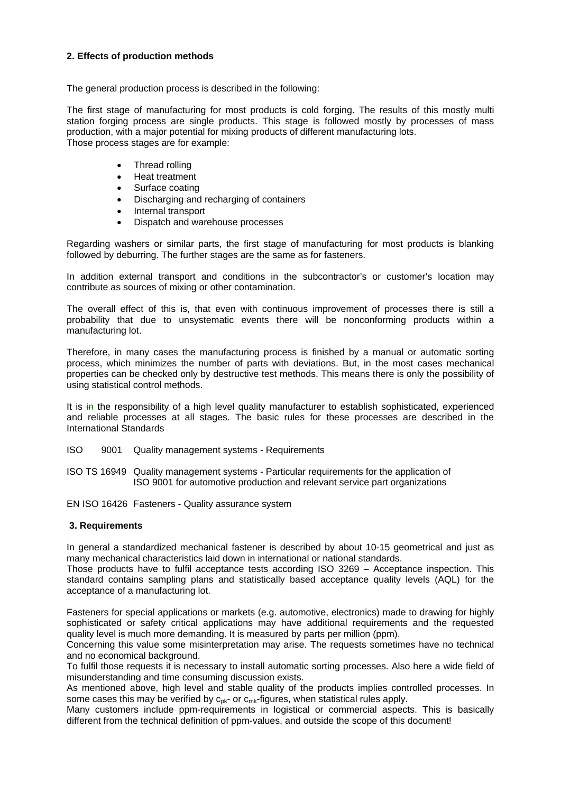#### **2. Effects of production methods**

The general production process is described in the following:

The first stage of manufacturing for most products is cold forging. The results of this mostly multi station forging process are single products. This stage is followed mostly by processes of mass production, with a major potential for mixing products of different manufacturing lots. Those process stages are for example:

- Thread rolling
- Heat treatment
- Surface coating
- Discharging and recharging of containers
- Internal transport
- Dispatch and warehouse processes

Regarding washers or similar parts, the first stage of manufacturing for most products is blanking followed by deburring. The further stages are the same as for fasteners.

In addition external transport and conditions in the subcontractor's or customer's location may contribute as sources of mixing or other contamination.

The overall effect of this is, that even with continuous improvement of processes there is still a probability that due to unsystematic events there will be nonconforming products within a manufacturing lot.

Therefore, in many cases the manufacturing process is finished by a manual or automatic sorting process, which minimizes the number of parts with deviations. But, in the most cases mechanical properties can be checked only by destructive test methods. This means there is only the possibility of using statistical control methods.

It is in the responsibility of a high level quality manufacturer to establish sophisticated, experienced and reliable processes at all stages. The basic rules for these processes are described in the International Standards

- ISO 9001 Quality management systems Requirements
- ISO TS 16949 Quality management systems Particular requirements for the application of ISO 9001 for automotive production and relevant service part organizations

EN ISO 16426 Fasteners - Quality assurance system

#### **3. Requirements**

In general a standardized mechanical fastener is described by about 10-15 geometrical and just as many mechanical characteristics laid down in international or national standards.

Those products have to fulfil acceptance tests according ISO 3269 – Acceptance inspection. This standard contains sampling plans and statistically based acceptance quality levels (AQL) for the acceptance of a manufacturing lot.

Fasteners for special applications or markets (e.g. automotive, electronics) made to drawing for highly sophisticated or safety critical applications may have additional requirements and the requested quality level is much more demanding. It is measured by parts per million (ppm).

Concerning this value some misinterpretation may arise. The requests sometimes have no technical and no economical background.

To fulfil those requests it is necessary to install automatic sorting processes. Also here a wide field of misunderstanding and time consuming discussion exists.

As mentioned above, high level and stable quality of the products implies controlled processes. In some cases this may be verified by  $c_{pk}$ - or  $c_{mk}$ -figures, when statistical rules apply.

Many customers include ppm-requirements in logistical or commercial aspects. This is basically different from the technical definition of ppm-values, and outside the scope of this document!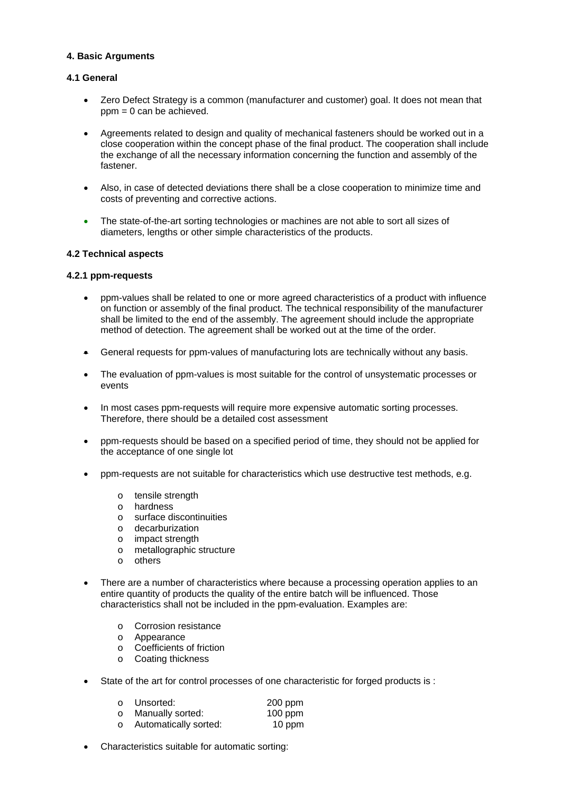#### **4. Basic Arguments**

#### **4.1 General**

- Zero Defect Strategy is a common (manufacturer and customer) goal. It does not mean that  $ppm = 0$  can be achieved.
- Agreements related to design and quality of mechanical fasteners should be worked out in a close cooperation within the concept phase of the final product. The cooperation shall include the exchange of all the necessary information concerning the function and assembly of the fastener.
- Also, in case of detected deviations there shall be a close cooperation to minimize time and costs of preventing and corrective actions.
- The state-of-the-art sorting technologies or machines are not able to sort all sizes of diameters, lengths or other simple characteristics of the products.

#### **4.2 Technical aspects**

#### **4.2.1 ppm-requests**

- ppm-values shall be related to one or more agreed characteristics of a product with influence on function or assembly of the final product. The technical responsibility of the manufacturer shall be limited to the end of the assembly. The agreement should include the appropriate method of detection. The agreement shall be worked out at the time of the order.
- General requests for ppm-values of manufacturing lots are technically without any basis.
- The evaluation of ppm-values is most suitable for the control of unsystematic processes or events
- In most cases ppm-requests will require more expensive automatic sorting processes. Therefore, there should be a detailed cost assessment
- ppm-requests should be based on a specified period of time, they should not be applied for the acceptance of one single lot
- ppm-requests are not suitable for characteristics which use destructive test methods, e.g.
	- o tensile strength
	- o hardness
	- o surface discontinuities
	- o decarburization
	- o impact strength
	- o metallographic structure
	- o others
- There are a number of characteristics where because a processing operation applies to an entire quantity of products the quality of the entire batch will be influenced. Those characteristics shall not be included in the ppm-evaluation. Examples are:
	- o Corrosion resistance
	- o Appearance
	- o Coefficients of friction
	- o Coating thickness
- State of the art for control processes of one characteristic for forged products is :

|         | ○ Unsorted:             | $200$ ppm |
|---------|-------------------------|-----------|
| $\circ$ | Manually sorted:        | $100$ ppm |
|         | o Automatically sorted: | 10 ppm    |

Characteristics suitable for automatic sorting: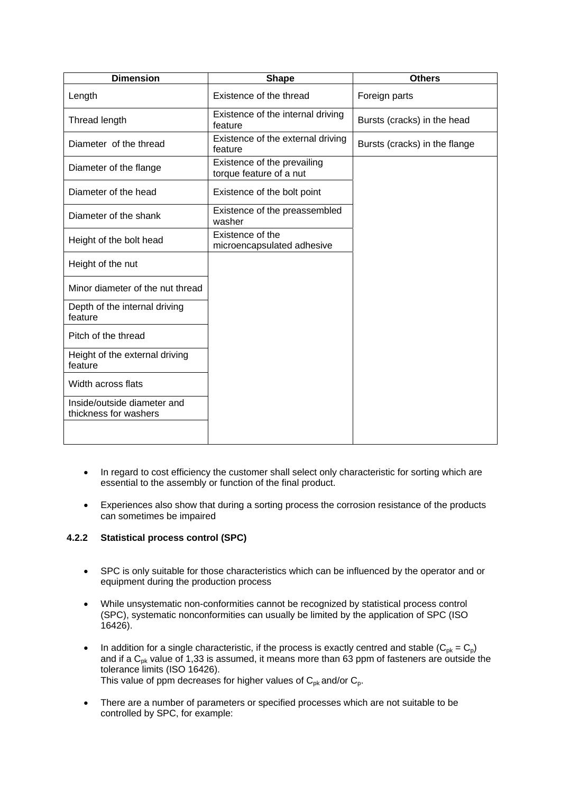| <b>Dimension</b>                                     | <b>Shape</b>                                           | <b>Others</b>                 |
|------------------------------------------------------|--------------------------------------------------------|-------------------------------|
| Length                                               | Existence of the thread                                | Foreign parts                 |
| Thread length                                        | Existence of the internal driving<br>feature           | Bursts (cracks) in the head   |
| Diameter of the thread                               | Existence of the external driving<br>feature           | Bursts (cracks) in the flange |
| Diameter of the flange                               | Existence of the prevailing<br>torque feature of a nut |                               |
| Diameter of the head                                 | Existence of the bolt point                            |                               |
| Diameter of the shank                                | Existence of the preassembled<br>washer                |                               |
| Height of the bolt head                              | Existence of the<br>microencapsulated adhesive         |                               |
| Height of the nut                                    |                                                        |                               |
| Minor diameter of the nut thread                     |                                                        |                               |
| Depth of the internal driving<br>feature             |                                                        |                               |
| Pitch of the thread                                  |                                                        |                               |
| Height of the external driving<br>feature            |                                                        |                               |
| Width across flats                                   |                                                        |                               |
| Inside/outside diameter and<br>thickness for washers |                                                        |                               |
|                                                      |                                                        |                               |

- In regard to cost efficiency the customer shall select only characteristic for sorting which are essential to the assembly or function of the final product.
- Experiences also show that during a sorting process the corrosion resistance of the products can sometimes be impaired

### **4.2.2 Statistical process control (SPC)**

- SPC is only suitable for those characteristics which can be influenced by the operator and or equipment during the production process
- While unsystematic non-conformities cannot be recognized by statistical process control (SPC), systematic nonconformities can usually be limited by the application of SPC (ISO 16426).
- In addition for a single characteristic, if the process is exactly centred and stable  $(C_{pk} = C_p)$ and if a  $C_{pk}$  value of 1,33 is assumed, it means more than 63 ppm of fasteners are outside the tolerance limits (ISO 16426). This value of ppm decreases for higher values of  $C_{\text{pk}}$  and/or  $C_{\text{p}}$ .
- There are a number of parameters or specified processes which are not suitable to be controlled by SPC, for example: